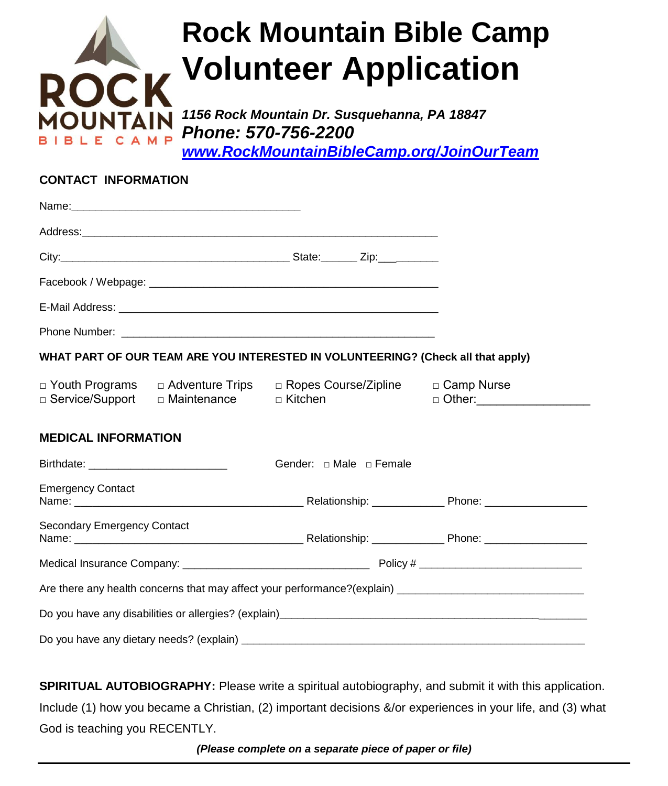

# **Rock Mountain Bible Camp Volunteer Application**

*1156 Rock Mountain Dr. Susquehanna, PA 18847 Phone: 570-756-2200*

*[www.RockMountainBibleCamp.org/JoinOurTeam](http://www.rockmountainbiblecamp.org/JoinOurTeam)*

#### **CONTACT INFORMATION**

|                                    |                                                                         |                                   | WHAT PART OF OUR TEAM ARE YOU INTERESTED IN VOLUNTEERING? (Check all that apply) |  |
|------------------------------------|-------------------------------------------------------------------------|-----------------------------------|----------------------------------------------------------------------------------|--|
|                                    | □ Youth Programs □ Adventure Trips<br>□ Service/Support   □ Maintenance | □ Kitchen                         | □ Ropes Course/Zipline □ Camp Nurse<br>□ Other: ___________________              |  |
| <b>MEDICAL INFORMATION</b>         |                                                                         |                                   |                                                                                  |  |
|                                    |                                                                         | Gender: $\Box$ Male $\Box$ Female |                                                                                  |  |
| <b>Emergency Contact</b>           |                                                                         |                                   |                                                                                  |  |
| <b>Secondary Emergency Contact</b> |                                                                         |                                   |                                                                                  |  |
|                                    |                                                                         |                                   |                                                                                  |  |
|                                    |                                                                         |                                   |                                                                                  |  |
|                                    |                                                                         |                                   |                                                                                  |  |
|                                    |                                                                         |                                   |                                                                                  |  |

**SPIRITUAL AUTOBIOGRAPHY:** Please write a spiritual autobiography, and submit it with this application. Include (1) how you became a Christian, (2) important decisions &/or experiences in your life, and (3) what God is teaching you RECENTLY.

*(Please complete on a separate piece of paper or file)*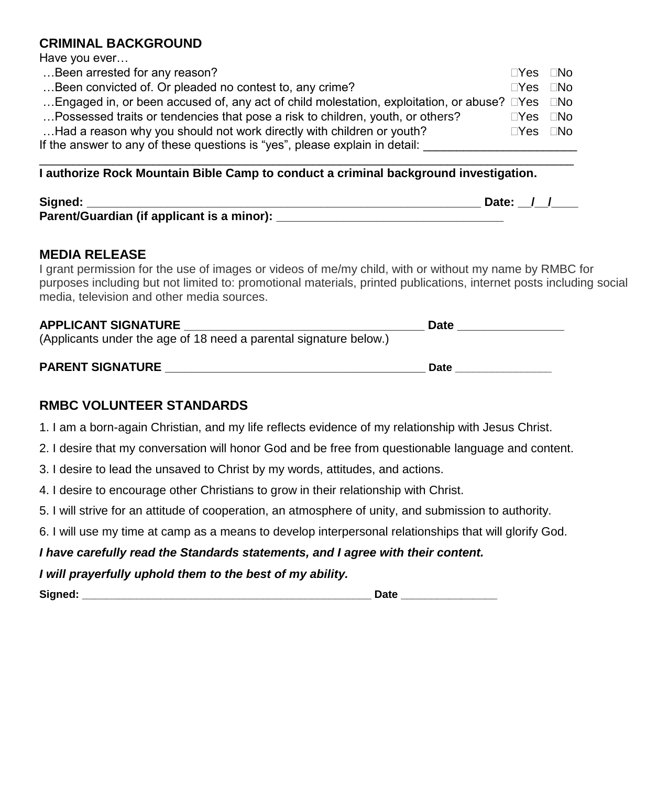## **CRIMINAL BACKGROUND**

Have you ever…

| Been arrested for any reason?                                                                                    | $\square$ Yes $\square$ No |  |
|------------------------------------------------------------------------------------------------------------------|----------------------------|--|
| Been convicted of. Or pleaded no contest to, any crime?                                                          | $\Box$ Yes $\Box$ No       |  |
| Engaged in, or been accused of, any act of child molestation, exploitation, or abuse? $\square$ Yes $\square$ No |                            |  |
| Possessed traits or tendencies that pose a risk to children, youth, or others?                                   | $\square$ Yes $\square$ No |  |
| Had a reason why you should not work directly with children or youth?                                            | $\square$ Yes $\square$ No |  |
| If the answer to any of these questions is "yes", please explain in detail:                                      |                            |  |

\_\_\_\_\_\_\_\_\_\_\_\_\_\_\_\_\_\_\_\_\_\_\_\_\_\_\_\_\_\_\_\_\_\_\_\_\_\_\_\_\_\_\_\_\_\_\_\_\_\_\_\_\_\_\_\_\_\_\_\_\_\_\_\_\_\_\_\_\_\_\_\_\_\_\_\_\_\_\_\_

#### **I authorize Rock Mountain Bible Camp to conduct a criminal background investigation.**

| Signed:                                    | Date: |
|--------------------------------------------|-------|
| Parent/Guardian (if applicant is a minor): |       |

## **MEDIA RELEASE**

I grant permission for the use of images or videos of me/my child, with or without my name by RMBC for purposes including but not limited to: promotional materials, printed publications, internet posts including social media, television and other media sources.

| <b>APPLICANT SIGNATURE</b>                                        | Date |
|-------------------------------------------------------------------|------|
| (Applicants under the age of 18 need a parental signature below.) |      |
|                                                                   |      |

| <b>PARENT SIGNATURE</b> |  |
|-------------------------|--|
|                         |  |

# **RMBC VOLUNTEER STANDARDS**

- 1. I am a born-again Christian, and my life reflects evidence of my relationship with Jesus Christ.
- 2. I desire that my conversation will honor God and be free from questionable language and content.
- 3. I desire to lead the unsaved to Christ by my words, attitudes, and actions.
- 4. I desire to encourage other Christians to grow in their relationship with Christ.
- 5. I will strive for an attitude of cooperation, an atmosphere of unity, and submission to authority.
- 6. I will use my time at camp as a means to develop interpersonal relationships that will glorify God.

## *I have carefully read the Standards statements, and I agree with their content.*

#### *I will prayerfully uphold them to the best of my ability.*

**Signed: \_\_\_\_\_\_\_\_\_\_\_\_\_\_\_\_\_\_\_\_\_\_\_\_\_\_\_\_\_\_\_\_\_\_\_\_\_\_\_\_\_\_\_\_\_\_\_\_ Date \_\_\_\_\_\_\_\_\_\_\_\_\_\_\_\_**